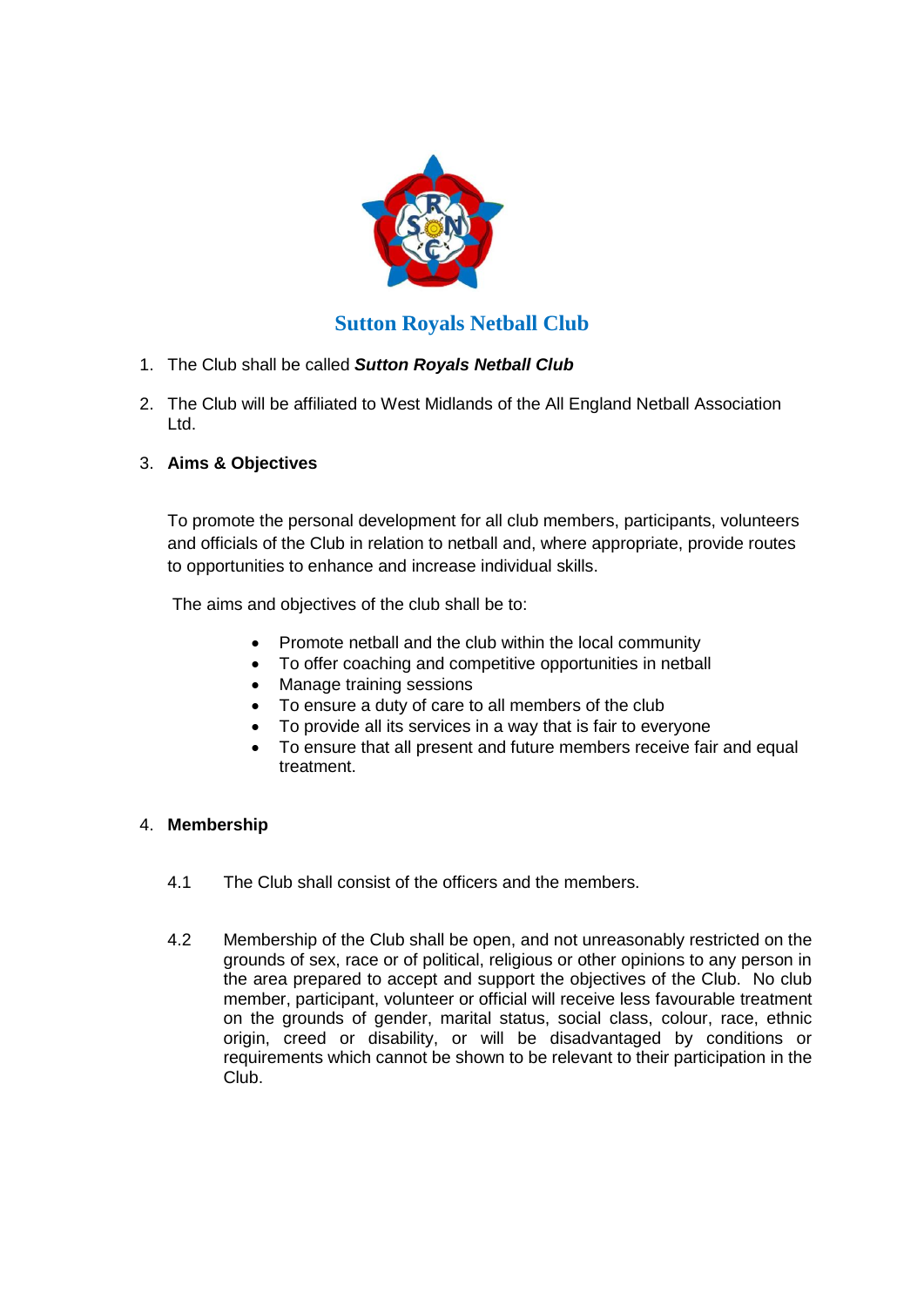

# **Sutton Royals Netball Club**

- 1. The Club shall be called *Sutton Royals Netball Club*
- 2. The Club will be affiliated to West Midlands of the All England Netball Association Ltd.

# 3. **Aims & Objectives**

To promote the personal development for all club members, participants, volunteers and officials of the Club in relation to netball and, where appropriate, provide routes to opportunities to enhance and increase individual skills.

The aims and objectives of the club shall be to:

- Promote netball and the club within the local community
- To offer coaching and competitive opportunities in netball
- Manage training sessions
- To ensure a duty of care to all members of the club
- To provide all its services in a way that is fair to everyone
- To ensure that all present and future members receive fair and equal treatment.

### 4. **Membership**

- 4.1 The Club shall consist of the officers and the members.
- 4.2 Membership of the Club shall be open, and not unreasonably restricted on the grounds of sex, race or of political, religious or other opinions to any person in the area prepared to accept and support the objectives of the Club. No club member, participant, volunteer or official will receive less favourable treatment on the grounds of gender, marital status, social class, colour, race, ethnic origin, creed or disability, or will be disadvantaged by conditions or requirements which cannot be shown to be relevant to their participation in the Club.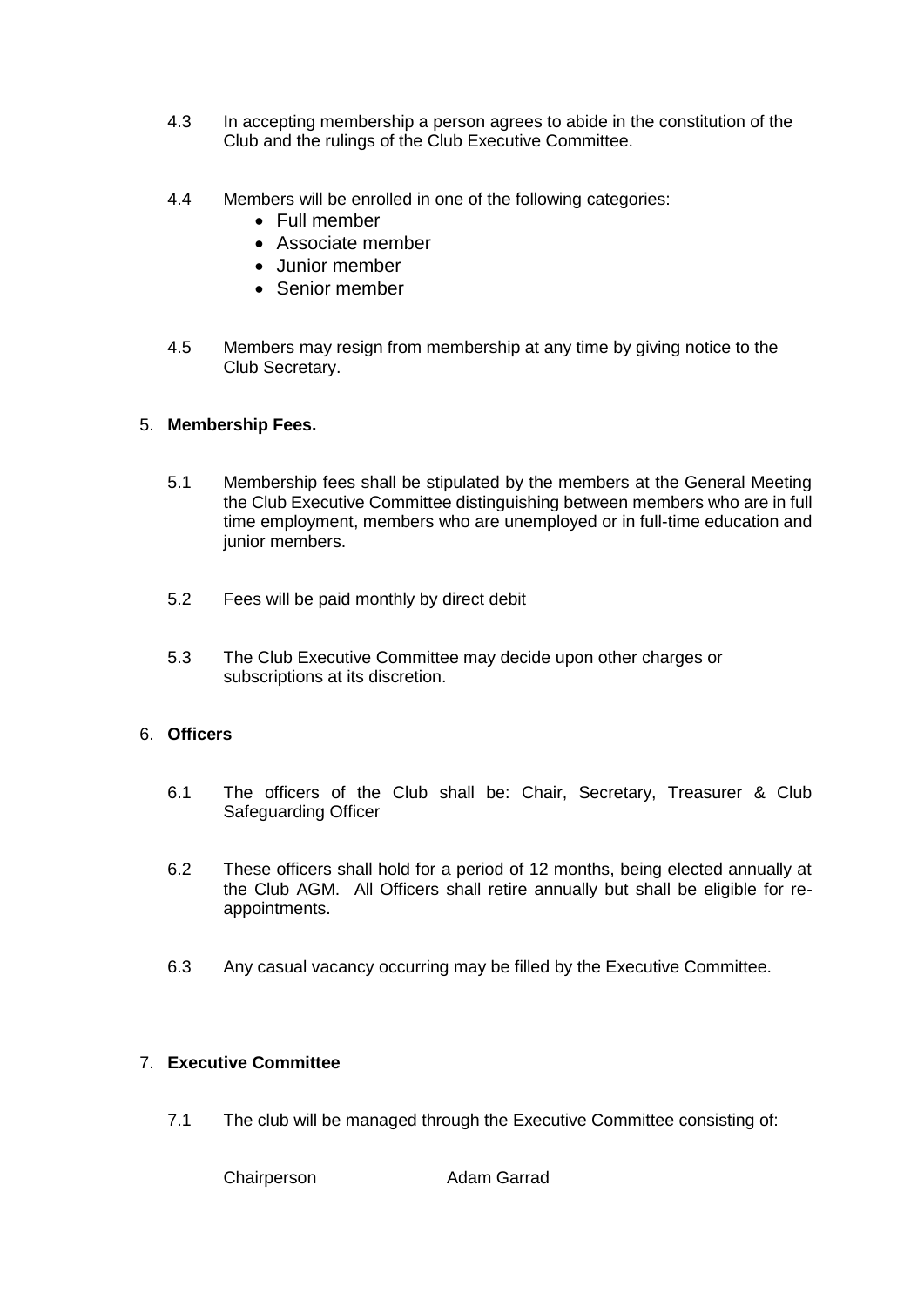- 4.3 In accepting membership a person agrees to abide in the constitution of the Club and the rulings of the Club Executive Committee.
- 4.4 Members will be enrolled in one of the following categories:
	- Full member
	- Associate member
	- Junior member
	- Senior member
- 4.5 Members may resign from membership at any time by giving notice to the Club Secretary.

### 5. **Membership Fees.**

- 5.1 Membership fees shall be stipulated by the members at the General Meeting the Club Executive Committee distinguishing between members who are in full time employment, members who are unemployed or in full-time education and junior members.
- 5.2 Fees will be paid monthly by direct debit
- 5.3 The Club Executive Committee may decide upon other charges or subscriptions at its discretion.

### 6. **Officers**

- 6.1 The officers of the Club shall be: Chair, Secretary, Treasurer & Club Safeguarding Officer
- 6.2 These officers shall hold for a period of 12 months, being elected annually at the Club AGM. All Officers shall retire annually but shall be eligible for reappointments.
- 6.3 Any casual vacancy occurring may be filled by the Executive Committee.

## 7. **Executive Committee**

7.1 The club will be managed through the Executive Committee consisting of:

Chairperson **Adam Garrad**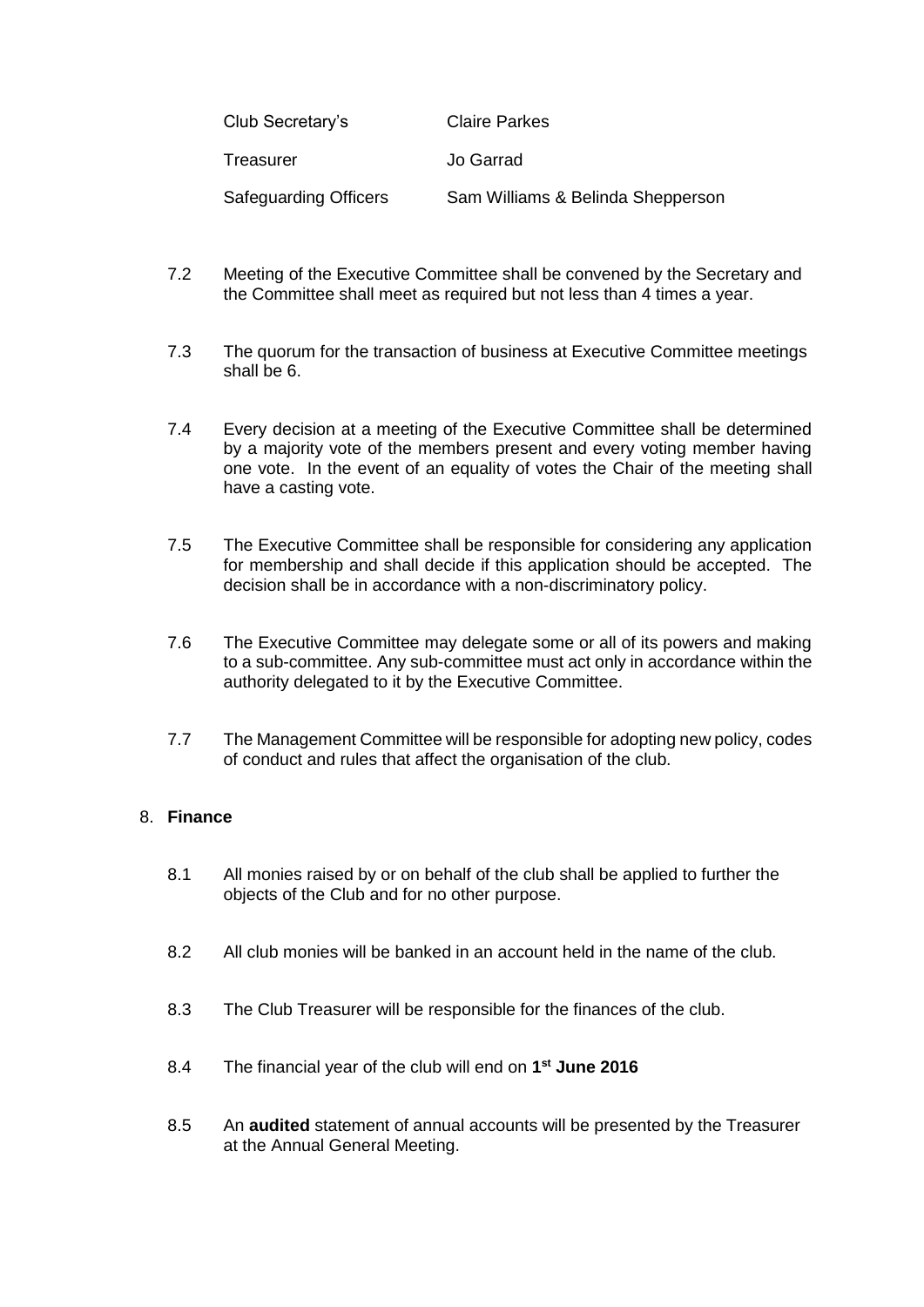| Club Secretary's             | <b>Claire Parkes</b>              |
|------------------------------|-----------------------------------|
| Treasurer                    | Jo Garrad                         |
| <b>Safeguarding Officers</b> | Sam Williams & Belinda Shepperson |

- 7.2 Meeting of the Executive Committee shall be convened by the Secretary and the Committee shall meet as required but not less than 4 times a year.
- 7.3 The quorum for the transaction of business at Executive Committee meetings shall be 6.
- 7.4 Every decision at a meeting of the Executive Committee shall be determined by a majority vote of the members present and every voting member having one vote. In the event of an equality of votes the Chair of the meeting shall have a casting vote.
- 7.5 The Executive Committee shall be responsible for considering any application for membership and shall decide if this application should be accepted. The decision shall be in accordance with a non-discriminatory policy.
- 7.6 The Executive Committee may delegate some or all of its powers and making to a sub-committee. Any sub-committee must act only in accordance within the authority delegated to it by the Executive Committee.
- 7.7 The Management Committee will be responsible for adopting new policy, codes of conduct and rules that affect the organisation of the club.

### 8. **Finance**

- 8.1 All monies raised by or on behalf of the club shall be applied to further the objects of the Club and for no other purpose.
- 8.2 All club monies will be banked in an account held in the name of the club.
- 8.3 The Club Treasurer will be responsible for the finances of the club.
- 8.4 The financial year of the club will end on **1 st June 2016**
- 8.5 An **audited** statement of annual accounts will be presented by the Treasurer at the Annual General Meeting.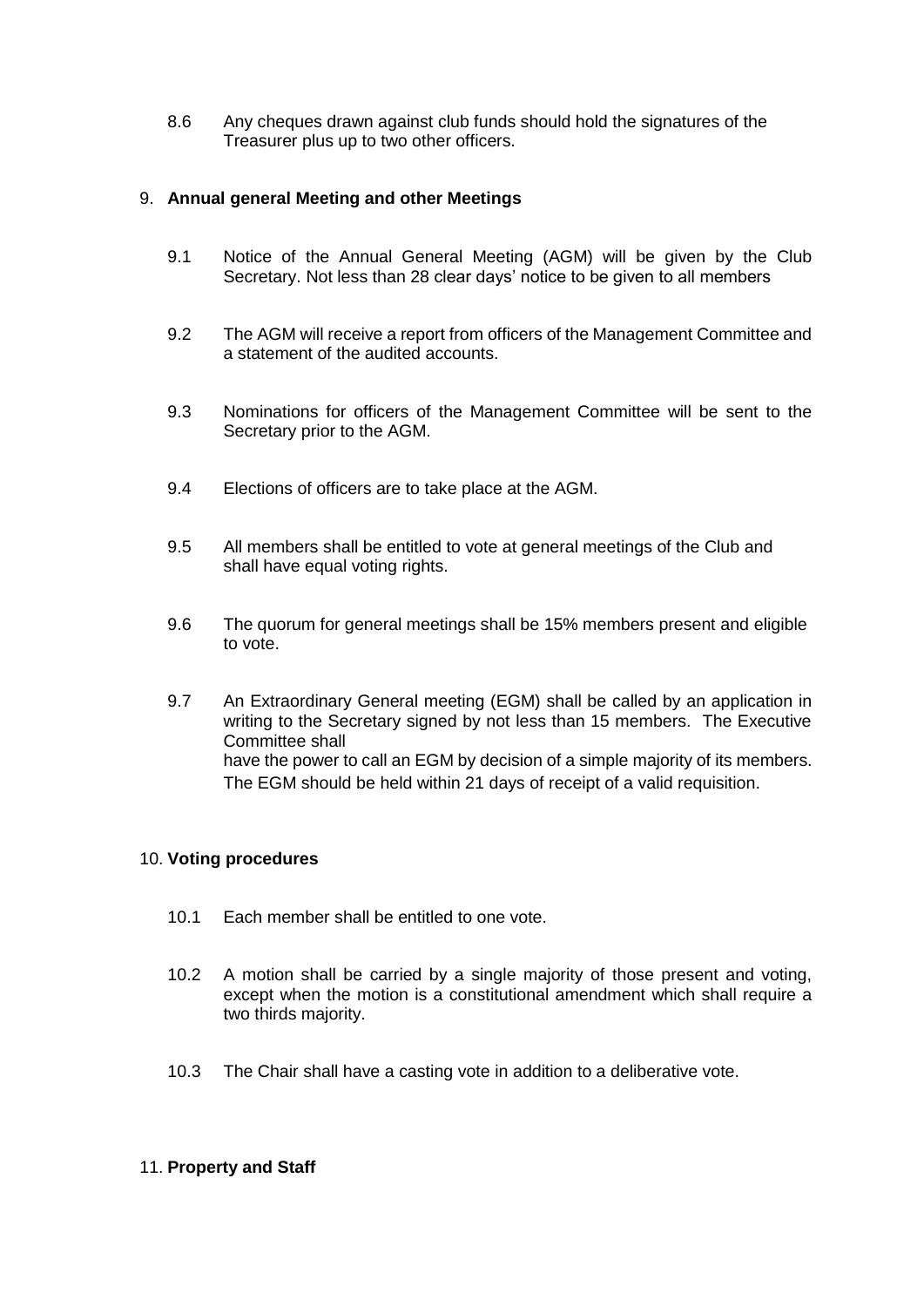8.6 Any cheques drawn against club funds should hold the signatures of the Treasurer plus up to two other officers.

### 9. **Annual general Meeting and other Meetings**

- 9.1 Notice of the Annual General Meeting (AGM) will be given by the Club Secretary. Not less than 28 clear days' notice to be given to all members
- 9.2 The AGM will receive a report from officers of the Management Committee and a statement of the audited accounts.
- 9.3 Nominations for officers of the Management Committee will be sent to the Secretary prior to the AGM.
- 9.4 Elections of officers are to take place at the AGM.
- 9.5 All members shall be entitled to vote at general meetings of the Club and shall have equal voting rights.
- 9.6 The quorum for general meetings shall be 15% members present and eligible to vote.
- 9.7 An Extraordinary General meeting (EGM) shall be called by an application in writing to the Secretary signed by not less than 15 members. The Executive Committee shall have the power to call an EGM by decision of a simple majority of its members. The EGM should be held within 21 days of receipt of a valid requisition.

#### 10. **Voting procedures**

- 10.1 Each member shall be entitled to one vote.
- 10.2 A motion shall be carried by a single majority of those present and voting, except when the motion is a constitutional amendment which shall require a two thirds majority.
- 10.3 The Chair shall have a casting vote in addition to a deliberative vote.

#### 11. **Property and Staff**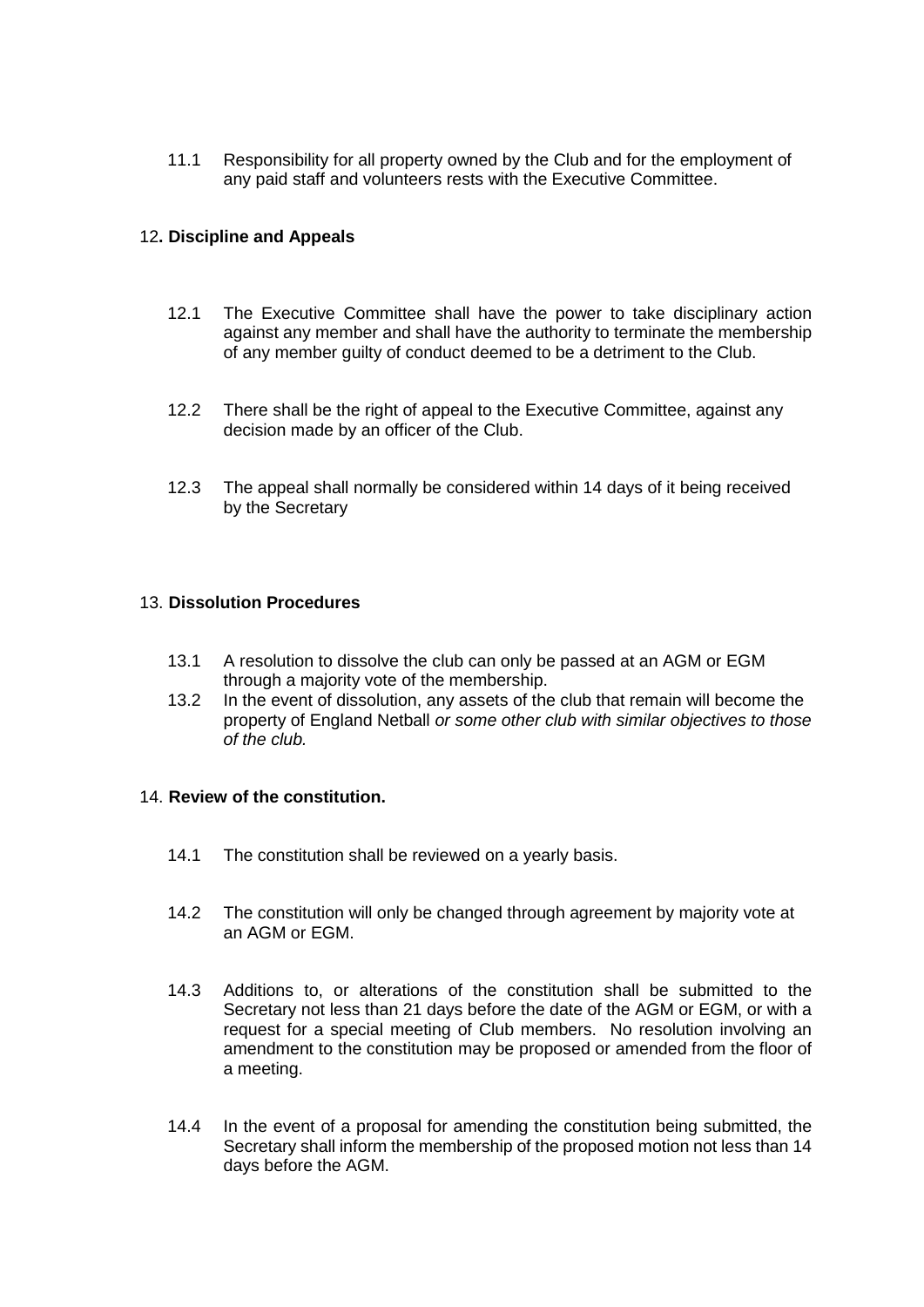11.1 Responsibility for all property owned by the Club and for the employment of any paid staff and volunteers rests with the Executive Committee.

### 12**. Discipline and Appeals**

- 12.1 The Executive Committee shall have the power to take disciplinary action against any member and shall have the authority to terminate the membership of any member guilty of conduct deemed to be a detriment to the Club.
- 12.2 There shall be the right of appeal to the Executive Committee, against any decision made by an officer of the Club.
- 12.3 The appeal shall normally be considered within 14 days of it being received by the Secretary

#### 13. **Dissolution Procedures**

- 13.1 A resolution to dissolve the club can only be passed at an AGM or EGM through a majority vote of the membership.
- 13.2 In the event of dissolution, any assets of the club that remain will become the property of England Netball *or some other club with similar objectives to those of the club.*

#### 14. **Review of the constitution.**

- 14.1 The constitution shall be reviewed on a yearly basis.
- 14.2 The constitution will only be changed through agreement by majority vote at an AGM or EGM.
- 14.3 Additions to, or alterations of the constitution shall be submitted to the Secretary not less than 21 days before the date of the AGM or EGM, or with a request for a special meeting of Club members. No resolution involving an amendment to the constitution may be proposed or amended from the floor of a meeting.
- 14.4 In the event of a proposal for amending the constitution being submitted, the Secretary shall inform the membership of the proposed motion not less than 14 days before the AGM.